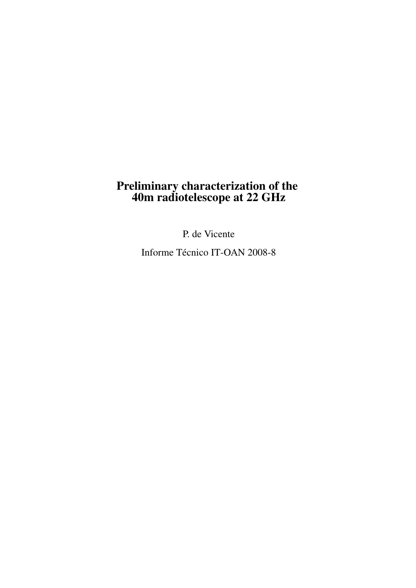### Preliminary characterization of the 40m radiotelescope at 22 GHz

P. de Vicente

Informe Técnico IT-OAN 2008-8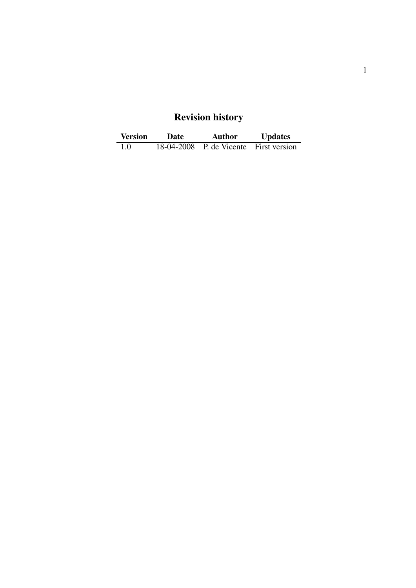## Revision history

| <b>Version</b> | Date | <b>Author</b>                          | <b>Updates</b> |
|----------------|------|----------------------------------------|----------------|
| 1.0            |      | 18-04-2008 P. de Vicente First version |                |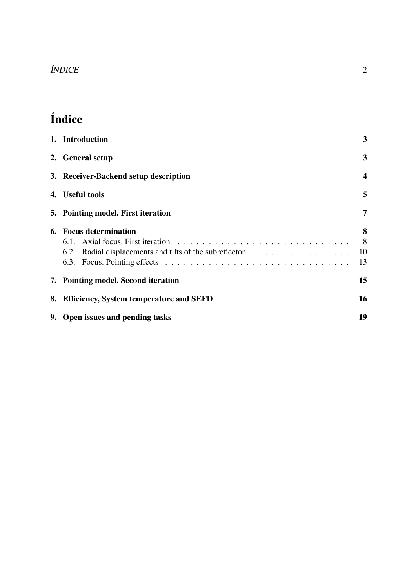### ÍNDICE 2

# Índice

| 1. Introduction                                                                   | 3                       |
|-----------------------------------------------------------------------------------|-------------------------|
| 2. General setup                                                                  | 3                       |
| 3. Receiver-Backend setup description                                             | $\overline{\mathbf{4}}$ |
| 4. Useful tools                                                                   | 5                       |
| 5. Pointing model. First iteration                                                | 7                       |
| 6. Focus determination<br>6.2. Radial displacements and tilts of the subreflector | 8<br>8<br>10<br>13      |
| 7. Pointing model. Second iteration                                               | 15                      |
| 8. Efficiency, System temperature and SEFD                                        | 16                      |
| 9. Open issues and pending tasks                                                  | 19                      |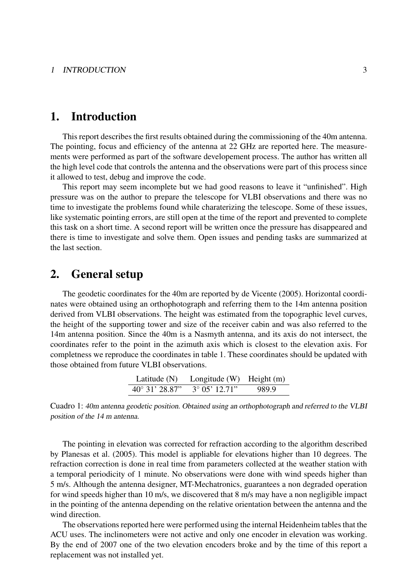### 1. Introduction

This report describes the first results obtained during the commissioning of the 40m antenna. The pointing, focus and efficiency of the antenna at 22 GHz are reported here. The measurements were performed as part of the software developement process. The author has written all the high level code that controls the antenna and the observations were part of this process since it allowed to test, debug and improve the code.

This report may seem incomplete but we had good reasons to leave it "unfinished". High pressure was on the author to prepare the telescope for VLBI observations and there was no time to investigate the problems found while charaterizing the telescope. Some of these issues, like systematic pointing errors, are still open at the time of the report and prevented to complete this task on a short time. A second report will be written once the pressure has disappeared and there is time to investigate and solve them. Open issues and pending tasks are summarized at the last section.

### 2. General setup

The geodetic coordinates for the 40m are reported by de Vicente (2005). Horizontal coordinates were obtained using an orthophotograph and referring them to the 14m antenna position derived from VLBI observations. The height was estimated from the topographic level curves, the height of the supporting tower and size of the receiver cabin and was also referred to the 14m antenna position. Since the 40m is a Nasmyth antenna, and its axis do not intersect, the coordinates refer to the point in the azimuth axis which is closest to the elevation axis. For completness we reproduce the coordinates in table 1. These coordinates should be updated with those obtained from future VLBI observations.

| Latitude $(N)$          | Longitude $(W)$ Height $(m)$ |       |
|-------------------------|------------------------------|-------|
| $40^{\circ}$ 31' 28.87" | $3^{\circ}$ 05' 12.71"       | 989.9 |

Cuadro 1: 40m antenna geodetic position. Obtained using an orthophotograph and referred to the VLBI position of the 14 m antenna.

The pointing in elevation was corrected for refraction according to the algorithm described by Planesas et al. (2005). This model is appliable for elevations higher than 10 degrees. The refraction correction is done in real time from parameters collected at the weather station with a temporal periodicity of 1 minute. No observations were done with wind speeds higher than 5 m/s. Although the antenna designer, MT-Mechatronics, guarantees a non degraded operation for wind speeds higher than 10 m/s, we discovered that 8 m/s may have a non negligible impact in the pointing of the antenna depending on the relative orientation between the antenna and the wind direction.

The observations reported here were performed using the internal Heidenheim tables that the ACU uses. The inclinometers were not active and only one encoder in elevation was working. By the end of 2007 one of the two elevation encoders broke and by the time of this report a replacement was not installed yet.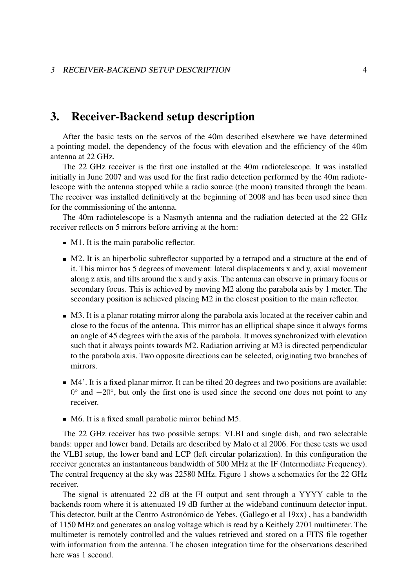### 3. Receiver-Backend setup description

After the basic tests on the servos of the 40m described elsewhere we have determined a pointing model, the dependency of the focus with elevation and the efficiency of the 40m antenna at 22 GHz.

The 22 GHz receiver is the first one installed at the 40m radiotelescope. It was installed initially in June 2007 and was used for the first radio detection performed by the 40m radiotelescope with the antenna stopped while a radio source (the moon) transited through the beam. The receiver was installed definitively at the beginning of 2008 and has been used since then for the commissioning of the antenna.

The 40m radiotelescope is a Nasmyth antenna and the radiation detected at the 22 GHz receiver reflects on 5 mirrors before arriving at the horn:

- M1. It is the main parabolic reflector.
- $\blacksquare$  M2. It is an hiperbolic subreflector supported by a tetrapod and a structure at the end of it. This mirror has 5 degrees of movement: lateral displacements x and y, axial movement along z axis, and tilts around the x and y axis. The antenna can observe in primary focus or secondary focus. This is achieved by moving M2 along the parabola axis by 1 meter. The secondary position is achieved placing M2 in the closest position to the main reflector.
- M3. It is a planar rotating mirror along the parabola axis located at the receiver cabin and close to the focus of the antenna. This mirror has an elliptical shape since it always forms an angle of 45 degrees with the axis of the parabola. It moves synchronized with elevation such that it always points towards M2. Radiation arriving at M3 is directed perpendicular to the parabola axis. Two opposite directions can be selected, originating two branches of mirrors.
- M4'. It is a fixed planar mirror. It can be tilted 20 degrees and two positions are available: 0° and −20°, but only the first one is used since the second one does not point to any receiver.
- M6. It is a fixed small parabolic mirror behind M5.

The 22 GHz receiver has two possible setups: VLBI and single dish, and two selectable bands: upper and lower band. Details are described by Malo et al 2006. For these tests we used the VLBI setup, the lower band and LCP (left circular polarization). In this configuration the receiver generates an instantaneous bandwidth of 500 MHz at the IF (Intermediate Frequency). The central frequency at the sky was 22580 MHz. Figure 1 shows a schematics for the 22 GHz receiver.

The signal is attenuated 22 dB at the FI output and sent through a YYYY cable to the backends room where it is attenuated 19 dB further at the wideband continuum detector input. This detector, built at the Centro Astronómico de Yebes, (Gallego et al 19xx) , has a bandwidth of 1150 MHz and generates an analog voltage which is read by a Keithely 2701 multimeter. The multimeter is remotely controlled and the values retrieved and stored on a FITS file together with information from the antenna. The chosen integration time for the observations described here was 1 second.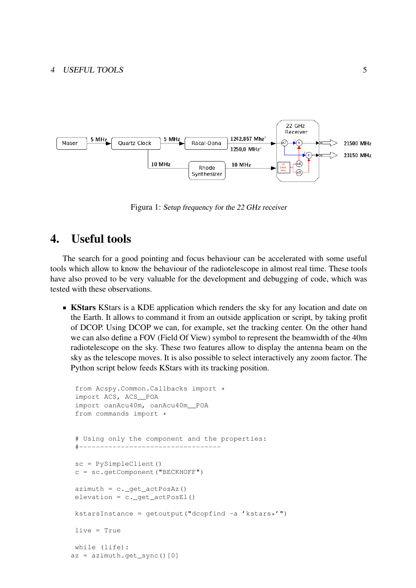

Figura 1: Setup frequency for the 22 GHz receiver

### 4. Useful tools

The search for a good pointing and focus behaviour can be accelerated with some useful tools which allow to know the behaviour of the radiotelescope in almost real time. These tools have also proved to be very valuable for the development and debugging of code, which was tested with these observations.

**KStars** KStars is a KDE application which renders the sky for any location and date on the Earth. It allows to command it from an outside application or script, by taking profit of DCOP. Using DCOP we can, for example, set the tracking center. On the other hand we can also define a FOV (Field Of View) symbol to represent the beamwidth of the 40m radiotelescope on the sky. These two features allow to display the antenna beam on the sky as the telescope moves. It is also possible to select interactively any zoom factor. The Python script below feeds KStars with its tracking position.

```
from Acspy.Common.Callbacks import *
 import ACS, ACS__POA
 import oanAcu40m, oanAcu40m__POA
 from commands import *
 # Using only the component and the properties:
 #----------------------------------
 sc = PySimpleClient()
 c = sc.getComponent("BECKHOFF")
 azimuth = c. qet actPosAz()elevation = c. qet actPosEl()
kstarsInstance = qetoutput("dcopfind -a 'kstars*'")
live = True
while (life):
az = azimuth.get_sync()[0]
```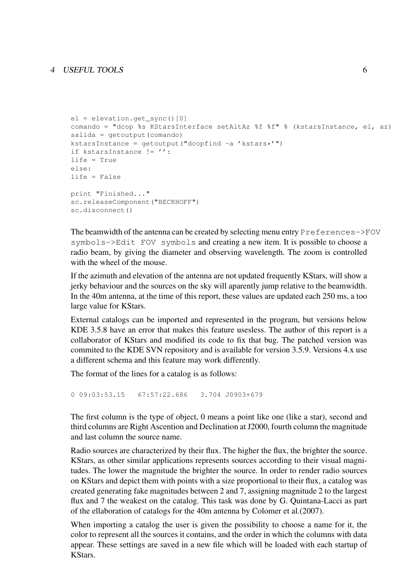```
el = elevation.get_sync()[0]
comando = "dcop %s KStarsInterface setAltAz %f %f" % (kstarsInstance, el, az)
salida = qetoutput(comando)
kstarsInstance = qetoutput('dcopfind -a 'kstars'')if kstarsInstance != '':
life = True
else:
life = False
print "Finished..."
sc.releaseComponent("BECKHOFF")
sc.disconnect()
```
The beamwidth of the antenna can be created by selecting menu entry Preferences->FOV symbols->Edit FOV symbols and creating a new item. It is possible to choose a radio beam, by giving the diameter and observing wavelength. The zoom is controlled with the wheel of the mouse.

If the azimuth and elevation of the antenna are not updated frequently KStars, will show a jerky behaviour and the sources on the sky will aparently jump relative to the beamwidth. In the 40m antenna, at the time of this report, these values are updated each 250 ms, a too large value for KStars.

External catalogs can be imported and represented in the program, but versions below KDE 3.5.8 have an error that makes this feature usesless. The author of this report is a collaborator of KStars and modified its code to fix that bug. The patched version was commited to the KDE SVN repository and is available for version 3.5.9. Versions 4.x use a different schema and this feature may work differently.

The format of the lines for a catalog is as follows:

0 09:03:53.15 67:57:22.686 3.704 J0903+679

The first column is the type of object, 0 means a point like one (like a star), second and third columns are Right Ascention and Declination at J2000, fourth column the magnitude and last column the source name.

Radio sources are characterized by their flux. The higher the flux, the brighter the source. KStars, as other similar applications represents sources according to their visual magnitudes. The lower the magnitude the brighter the source. In order to render radio sources on KStars and depict them with points with a size proportional to their flux, a catalog was created generating fake magnitudes between 2 and 7, assigning magnitude 2 to the largest flux and 7 the weakest on the catalog. This task was done by G. Quintana-Lacci as part of the ellaboration of catalogs for the 40m antenna by Colomer et al.(2007).

When importing a catalog the user is given the possibility to choose a name for it, the color to represent all the sources it contains, and the order in which the columns with data appear. These settings are saved in a new file which will be loaded with each startup of KStars.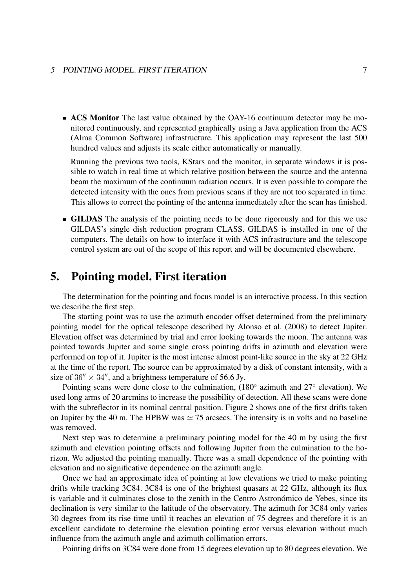#### 5 POINTING MODEL. FIRST ITERATION 7

**ACS Monitor** The last value obtained by the OAY-16 continuum detector may be monitored continuously, and represented graphically using a Java application from the ACS (Alma Common Software) infrastructure. This application may represent the last 500 hundred values and adjusts its scale either automatically or manually.

Running the previous two tools, KStars and the monitor, in separate windows it is possible to watch in real time at which relative position between the source and the antenna beam the maximum of the continuum radiation occurs. It is even possible to compare the detected intensity with the ones from previous scans if they are not too separated in time. This allows to correct the pointing of the antenna immediately after the scan has finished.

**GILDAS** The analysis of the pointing needs to be done rigorously and for this we use GILDAS's single dish reduction program CLASS. GILDAS is installed in one of the computers. The details on how to interface it with ACS infrastructure and the telescope control system are out of the scope of this report and will be documented elsewehere.

### 5. Pointing model. First iteration

The determination for the pointing and focus model is an interactive process. In this section we describe the first step.

The starting point was to use the azimuth encoder offset determined from the preliminary pointing model for the optical telescope described by Alonso et al. (2008) to detect Jupiter. Elevation offset was determined by trial and error looking towards the moon. The antenna was pointed towards Jupiter and some single cross pointing drifts in azimuth and elevation were performed on top of it. Jupiter is the most intense almost point-like source in the sky at 22 GHz at the time of the report. The source can be approximated by a disk of constant intensity, with a size of  $36'' \times 34''$ , and a brightness temperature of 56.6 Jy.

Pointing scans were done close to the culmination, (180° azimuth and 27° elevation). We used long arms of 20 arcmins to increase the possibility of detection. All these scans were done with the subreflector in its nominal central position. Figure 2 shows one of the first drifts taken on Jupiter by the 40 m. The HPBW was  $\simeq$  75 arcsecs. The intensity is in volts and no baseline was removed.

Next step was to determine a preliminary pointing model for the 40 m by using the first azimuth and elevation pointing offsets and following Jupiter from the culmination to the horizon. We adjusted the pointing manually. There was a small dependence of the pointing with elevation and no significative dependence on the azimuth angle.

Once we had an approximate idea of pointing at low elevations we tried to make pointing drifts while tracking 3C84. 3C84 is one of the brightest quasars at 22 GHz, although its flux is variable and it culminates close to the zenith in the Centro Astronómico de Yebes, since its declination is very similar to the latitude of the observatory. The azimuth for 3C84 only varies 30 degrees from its rise time until it reaches an elevation of 75 degrees and therefore it is an excellent candidate to determine the elevation pointing error versus elevation without much influence from the azimuth angle and azimuth collimation errors.

Pointing drifts on 3C84 were done from 15 degrees elevation up to 80 degrees elevation. We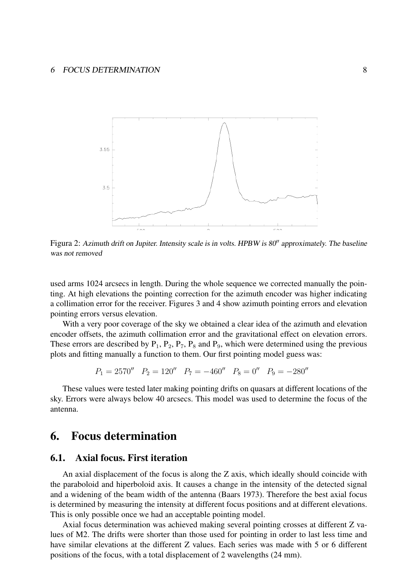

Figura 2: Azimuth drift on Jupiter. Intensity scale is in volts. HPBW is  $80''$  approximately. The baseline was not removed

used arms 1024 arcsecs in length. During the whole sequence we corrected manually the pointing. At high elevations the pointing correction for the azimuth encoder was higher indicating a collimation error for the receiver. Figures 3 and 4 show azimuth pointing errors and elevation pointing errors versus elevation.

With a very poor coverage of the sky we obtained a clear idea of the azimuth and elevation encoder offsets, the azimuth collimation error and the gravitational effect on elevation errors. These errors are described by  $P_1$ ,  $P_2$ ,  $P_7$ ,  $P_8$  and  $P_9$ , which were determined using the previous plots and fitting manually a function to them. Our first pointing model guess was:

$$
P_1 = 2570'' \quad P_2 = 120'' \quad P_7 = -460'' \quad P_8 = 0'' \quad P_9 = -280''
$$

These values were tested later making pointing drifts on quasars at different locations of the sky. Errors were always below 40 arcsecs. This model was used to determine the focus of the antenna.

### 6. Focus determination

#### 6.1. Axial focus. First iteration

An axial displacement of the focus is along the Z axis, which ideally should coincide with the paraboloid and hiperboloid axis. It causes a change in the intensity of the detected signal and a widening of the beam width of the antenna (Baars 1973). Therefore the best axial focus is determined by measuring the intensity at different focus positions and at different elevations. This is only possible once we had an acceptable pointing model.

Axial focus determination was achieved making several pointing crosses at different Z values of M2. The drifts were shorter than those used for pointing in order to last less time and have similar elevations at the different Z values. Each series was made with 5 or 6 different positions of the focus, with a total displacement of 2 wavelengths (24 mm).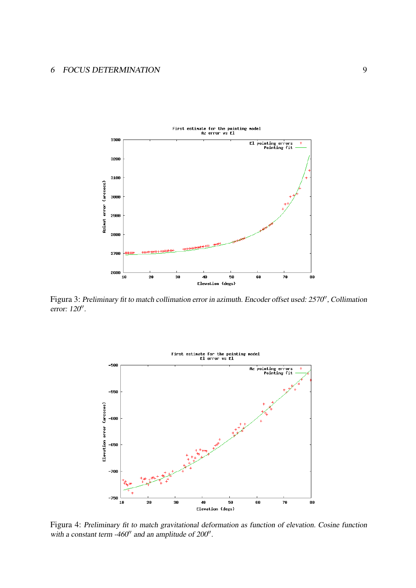#### 6 FOCUS DETERMINATION 9



Figura 3: Preliminary fit to match collimation error in azimuth. Encoder offset used: 2570', Collimation error: 120''.



Figura 4: Preliminary fit to match gravitational deformation as function of elevation. Cosine function with a constant term -460 $^{\prime\prime}$  and an amplitude of 200 $^{\prime\prime}$ .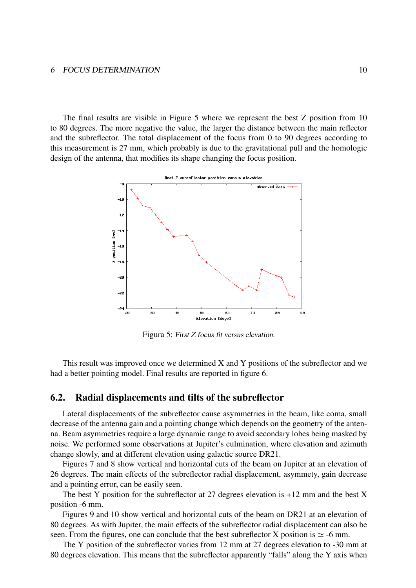#### 6 FOCUS DETERMINATION 10

The final results are visible in Figure 5 where we represent the best Z position from 10 to 80 degrees. The more negative the value, the larger the distance between the main reflector and the subreflector. The total displacement of the focus from 0 to 90 degrees according to this measurement is 27 mm, which probably is due to the gravitational pull and the homologic design of the antenna, that modifies its shape changing the focus position.



Figura 5: First Z focus fit versus elevation.

This result was improved once we determined X and Y positions of the subreflector and we had a better pointing model. Final results are reported in figure 6.

#### 6.2. Radial displacements and tilts of the subreflector

Lateral displacements of the subreflector cause asymmetries in the beam, like coma, small decrease of the antenna gain and a pointing change which depends on the geometry of the antenna. Beam asymmetries require a large dynamic range to avoid secondary lobes being masked by noise. We performed some observations at Jupiter's culmination, where elevation and azimuth change slowly, and at different elevation using galactic source DR21.

Figures 7 and 8 show vertical and horizontal cuts of the beam on Jupiter at an elevation of 26 degrees. The main effects of the subreflector radial displacement, asymmety, gain decrease and a pointing error, can be easily seen.

The best Y position for the subreflector at 27 degrees elevation is  $+12$  mm and the best X position -6 mm.

Figures 9 and 10 show vertical and horizontal cuts of the beam on DR21 at an elevation of 80 degrees. As with Jupiter, the main effects of the subreflector radial displacement can also be seen. From the figures, one can conclude that the best subreflector X position is  $\simeq$  -6 mm.

The Y position of the subreflector varies from 12 mm at 27 degrees elevation to -30 mm at 80 degrees elevation. This means that the subreflector apparently "falls" along the Y axis when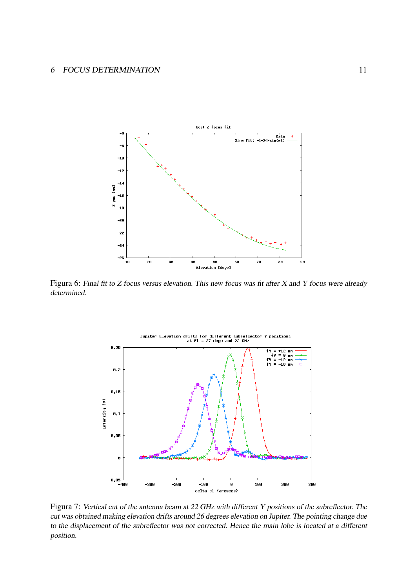

Figura 6: Final fit to Z focus versus elevation. This new focus was fit after X and Y focus were already determined.



Figura 7: Vertical cut of the antenna beam at 22 GHz with different Y positions of the subreflector. The cut was obtained making elevation drifts around 26 degrees elevation on Jupiter. The pointing change due to the displacement of the subreflector was not corrected. Hence the main lobe is located at a different position.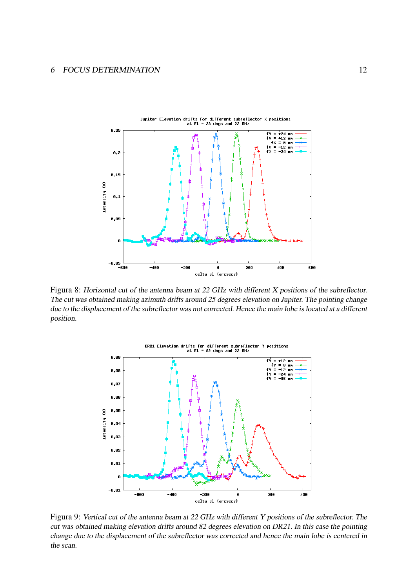

Figura 8: Horizontal cut of the antenna beam at 22 GHz with different X positions of the subreflector. The cut was obtained making azimuth drifts around 25 degrees elevation on Jupiter. The pointing change due to the displacement of the subreflector was not corrected. Hence the main lobe is located at a different position.



Figura 9: Vertical cut of the antenna beam at 22 GHz with different Y positions of the subreflector. The cut was obtained making elevation drifts around 82 degrees elevation on DR21. In this case the pointing change due to the displacement of the subreflector was corrected and hence the main lobe is centered in the scan.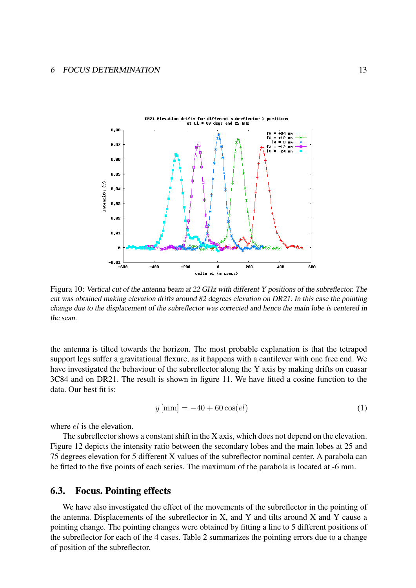

Figura 10: Vertical cut of the antenna beam at 22 GHz with different Y positions of the subreflector. The cut was obtained making elevation drifts around 82 degrees elevation on DR21. In this case the pointing change due to the displacement of the subreflector was corrected and hence the main lobe is centered in the scan.

the antenna is tilted towards the horizon. The most probable explanation is that the tetrapod support legs suffer a gravitational flexure, as it happens with a cantilever with one free end. We have investigated the behaviour of the subreflector along the Y axis by making drifts on cuasar 3C84 and on DR21. The result is shown in figure 11. We have fitted a cosine function to the data. Our best fit is:

$$
y \,[\text{mm}] = -40 + 60 \cos(el) \tag{1}
$$

where el is the elevation.

The subreflector shows a constant shift in the X axis, which does not depend on the elevation. Figure 12 depicts the intensity ratio between the secondary lobes and the main lobes at 25 and 75 degrees elevation for 5 different X values of the subreflector nominal center. A parabola can be fitted to the five points of each series. The maximum of the parabola is located at -6 mm.

#### 6.3. Focus. Pointing effects

We have also investigated the effect of the movements of the subreflector in the pointing of the antenna. Displacements of the subreflector in  $X$ , and  $Y$  and tilts around  $X$  and  $Y$  cause a pointing change. The pointing changes were obtained by fitting a line to 5 different positions of the subreflector for each of the 4 cases. Table 2 summarizes the pointing errors due to a change of position of the subreflector.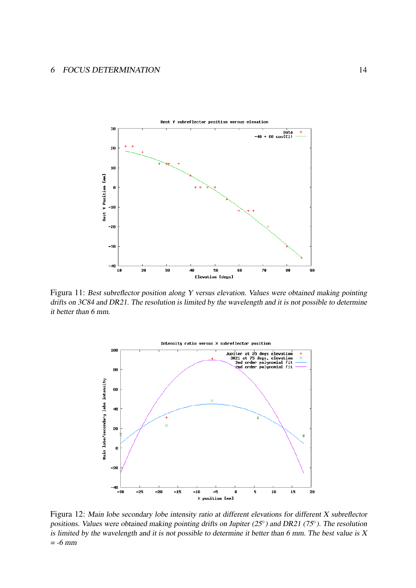

Figura 11: Best subreflector position along Y versus elevation. Values were obtained making pointing drifts on 3C84 and DR21. The resolution is limited by the wavelength and it is not possible to determine it better than 6 mm.



Figura 12: Main lobe secondary lobe intensity ratio at different elevations for different X subreflector positions. Values were obtained making pointing drifts on Jupiter (25°) and DR21 (75°). The resolution is limited by the wavelength and it is not possible to determine it better than 6 mm. The best value is  $X$  $= -6$  mm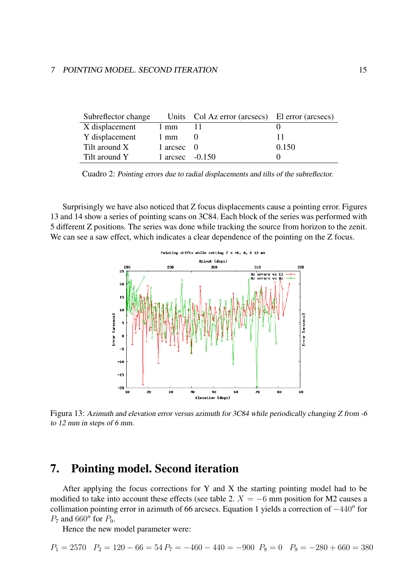#### 7 POINTING MODEL. SECOND ITERATION 15

| Subreflector change |                   | Units Col Az error (arcsecs) El error (arcsecs) |       |
|---------------------|-------------------|-------------------------------------------------|-------|
| X displacement      | 1 mm              |                                                 |       |
| Y displacement      | 1 mm              |                                                 |       |
| Tilt around X       | 1 arcsec $\theta$ |                                                 | 0.150 |
| Tilt around Y       | 1 arcsec $-0.150$ |                                                 |       |

Cuadro 2: Pointing errors due to radial displacements and tilts of the subreflector.

Surprisingly we have also noticed that Z focus displacements cause a pointing error. Figures 13 and 14 show a series of pointing scans on 3C84. Each block of the series was performed with 5 different Z positions. The series was done while tracking the source from horizon to the zenit. We can see a saw effect, which indicates a clear dependence of the pointing on the Z focus.



Figura 13: Azimuth and elevation error versus azimuth for 3C84 while periodically changing Z from -6 to 12 mm in steps of 6 mm.

### 7. Pointing model. Second iteration

After applying the focus corrections for Y and X the starting pointing model had to be modified to take into account these effects (see table 2.  $X = -6$  mm position for M2 causes a collimation pointing error in azimuth of 66 arcsecs. Equation 1 yields a correction of  $-440$ <sup>n</sup> for  $P_7$  and 660" for  $P_9$ .

Hence the new model parameter were:

$$
P_1 = 2570 \quad P_2 = 120 - 66 = 54 \quad P_7 = -460 - 440 = -900 \quad P_8 = 0 \quad P_9 = -280 + 660 = 380
$$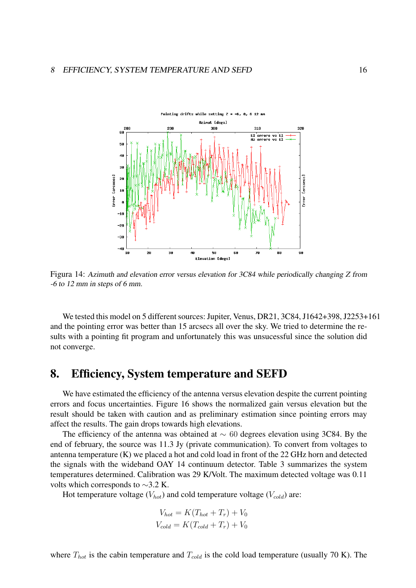

Figura 14: Azimuth and elevation error versus elevation for 3C84 while periodically changing Z from -6 to 12 mm in steps of 6 mm.

We tested this model on 5 different sources: Jupiter, Venus, DR21, 3C84, J1642+398, J2253+161 and the pointing error was better than 15 arcsecs all over the sky. We tried to determine the results with a pointing fit program and unfortunately this was unsucessful since the solution did not converge.

### 8. Efficiency, System temperature and SEFD

We have estimated the efficiency of the antenna versus elevation despite the current pointing errors and focus uncertainties. Figure 16 shows the normalized gain versus elevation but the result should be taken with caution and as preliminary estimation since pointing errors may affect the results. The gain drops towards high elevations.

The efficiency of the antenna was obtained at  $\sim 60$  degrees elevation using 3C84. By the end of february, the source was 11.3 Jy (private communication). To convert from voltages to antenna temperature (K) we placed a hot and cold load in front of the 22 GHz horn and detected the signals with the wideband OAY 14 continuum detector. Table 3 summarizes the system temperatures determined. Calibration was 29 K/Volt. The maximum detected voltage was 0.11 volts which corresponds to ∼3.2 K.

Hot temperature voltage ( $V_{hot}$ ) and cold temperature voltage ( $V_{cold}$ ) are:

$$
V_{hot} = K(T_{hot} + T_r) + V_0
$$
  

$$
V_{cold} = K(T_{cold} + T_r) + V_0
$$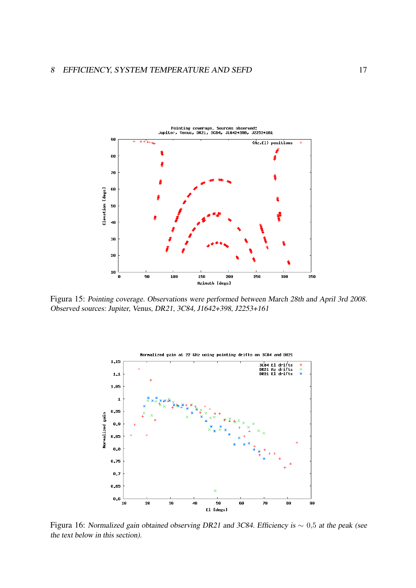

Figura 15: Pointing coverage. Observations were performed between March 28th and April 3rd 2008. Observed sources: Jupiter, Venus, DR21, 3C84, J1642+398, J2253+161



Figura 16: Normalized gain obtained observing DR21 and 3C84. Efficiency is ∼ 0,5 at the peak (see the text below in this section).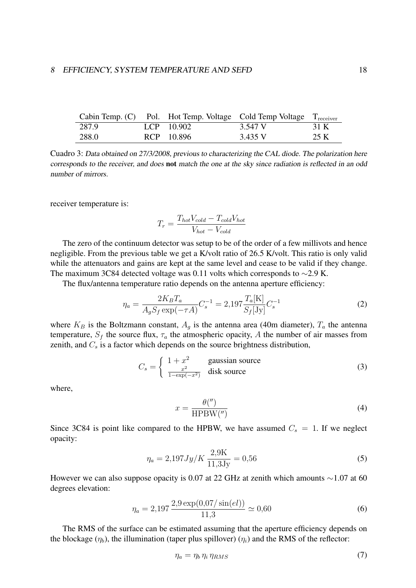|       |              | Cabin Temp. (C) Pol. Hot Temp. Voltage Cold Temp Voltage $T_{\text{receiver}}$ |      |
|-------|--------------|--------------------------------------------------------------------------------|------|
| 287.9 | $LCP$ 10.902 | 3.547 V                                                                        | 31 K |
| 288.0 | RCP 10.896   | 3.435 V                                                                        | 25 K |

Cuadro 3: Data obtained on 27/3/2008, previous to characterizing the CAL diode. The polarization here corresponds to the receiver, and does not match the one at the sky since radiation is reflected in an odd number of mirrors.

receiver temperature is:

$$
T_r = \frac{T_{hot}V_{cold} - T_{cold}V_{hot}}{V_{hot} - V_{cold}}
$$

The zero of the continuum detector was setup to be of the order of a few millivots and hence negligible. From the previous table we get a K/volt ratio of 26.5 K/volt. This ratio is only valid while the attenuators and gains are kept at the same level and cease to be valid if they change. The maximum 3C84 detected voltage was 0.11 volts which corresponds to  $\sim$ 2.9 K.

The flux/antenna temperature ratio depends on the antenna aperture efficiency:

$$
\eta_a = \frac{2K_B T_a}{A_g S_f \exp(-\tau A)} C_s^{-1} = 2{,}197 \frac{T_a[\text{K}]}{S_f[\text{Jy}]} C_s^{-1}
$$
\n(2)

where  $K_B$  is the Boltzmann constant,  $A_q$  is the antenna area (40m diameter),  $T_a$  the antenna temperature,  $S_f$  the source flux,  $\tau_a$  the atmospheric opacity, A the number of air masses from zenith, and  $C_s$  is a factor which depends on the source brightness distribution,

$$
C_s = \begin{cases} 1 + x^2 & \text{gaussian source} \\ \frac{x^2}{1 - \exp(-x^2)} & \text{disk source} \end{cases}
$$
 (3)

where,

$$
x = \frac{\theta(\text{''})}{\text{HPBW}(\text{''})}
$$
(4)

Since 3C84 is point like compared to the HPBW, we have assumed  $C_s = 1$ . If we neglect opacity:

$$
\eta_a = 2{,}197 \, Jy/K \, \frac{2{,}9K}{11{,}3Jy} = 0{,}56 \tag{5}
$$

However we can also suppose opacity is 0.07 at 22 GHz at zenith which amounts ∼1.07 at 60 degrees elevation:

$$
\eta_a = 2{,}197 \frac{2{,}9 \exp(0{,}07/\sin(el))}{11{,}3} \simeq 0{,}60 \tag{6}
$$

The RMS of the surface can be estimated assuming that the aperture efficiency depends on the blockage  $(\eta_b)$ , the illumination (taper plus spillover)  $(\eta_i)$  and the RMS of the reflector:

$$
\eta_a = \eta_b \,\eta_i \,\eta_{RMS} \tag{7}
$$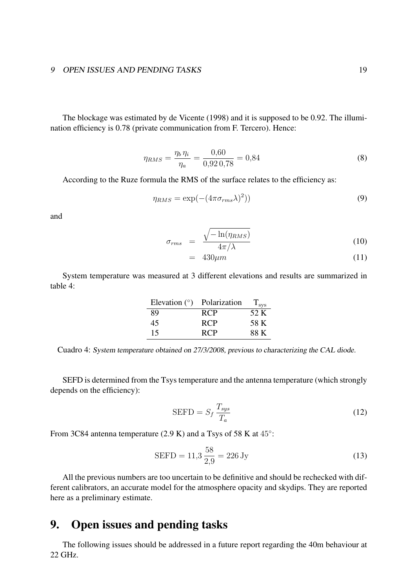#### 9 OPEN ISSUES AND PENDING TASKS 19

The blockage was estimated by de Vicente (1998) and it is supposed to be 0.92. The illumination efficiency is 0.78 (private communication from F. Tercero). Hence:

$$
\eta_{RMS} = \frac{\eta_b \,\eta_i}{\eta_a} = \frac{0.60}{0.920.78} = 0.84\tag{8}
$$

According to the Ruze formula the RMS of the surface relates to the efficiency as:

$$
\eta_{RMS} = \exp(-(4\pi\sigma_{rms}\lambda)^2))\tag{9}
$$

and

$$
\sigma_{rms} = \frac{\sqrt{-\ln(\eta_{RMS})}}{4\pi/\lambda} \tag{10}
$$

$$
= 430 \mu m \tag{11}
$$

System temperature was measured at 3 different elevations and results are summarized in table 4:

| Elevation $(°)$ Polarization |            | $T_{\rm sys}$ |
|------------------------------|------------|---------------|
| -89                          | <b>RCP</b> | 52 K          |
| 45                           | <b>RCP</b> | 58 K          |
| 15                           | <b>RCP</b> | 88 K          |

Cuadro 4: System temperature obtained on 27/3/2008, previous to characterizing the CAL diode.

SEFD is determined from the Tsys temperature and the antenna temperature (which strongly depends on the efficiency):

$$
SEFD = S_f \frac{T_{sys}}{T_a} \tag{12}
$$

From 3C84 antenna temperature  $(2.9 K)$  and a Tsys of 58 K at  $45^\circ$ :

$$
SEFD = 11,3 \frac{58}{2,9} = 226 \text{ Jy}
$$
 (13)

All the previous numbers are too uncertain to be definitive and should be rechecked with different calibrators, an accurate model for the atmosphere opacity and skydips. They are reported here as a preliminary estimate.

### 9. Open issues and pending tasks

The following issues should be addressed in a future report regarding the 40m behaviour at 22 GHz.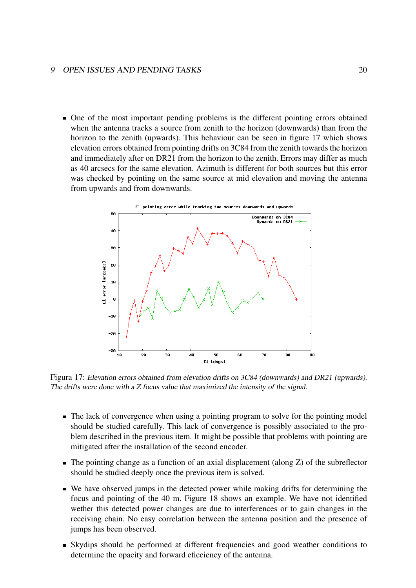#### 9 OPEN ISSUES AND PENDING TASKS 20

One of the most important pending problems is the different pointing errors obtained when the antenna tracks a source from zenith to the horizon (downwards) than from the horizon to the zenith (upwards). This behaviour can be seen in figure 17 which shows elevation errors obtained from pointing drifts on 3C84 from the zenith towards the horizon and immediately after on DR21 from the horizon to the zenith. Errors may differ as much as 40 arcsecs for the same elevation. Azimuth is different for both sources but this error was checked by pointing on the same source at mid elevation and moving the antenna from upwards and from downwards.



Figura 17: Elevation errors obtained from elevation drifts on 3C84 (downwards) and DR21 (upwards). The drifts were done with a Z focus value that maximized the intensity of the signal.

- The lack of convergence when using a pointing program to solve for the pointing model should be studied carefully. This lack of convergence is possibly associated to the problem described in the previous item. It might be possible that problems with pointing are mitigated after the installation of the second encoder.
- $\blacksquare$  The pointing change as a function of an axial displacement (along Z) of the subreflector should be studied deeply once the previous item is solved.
- We have observed jumps in the detected power while making drifts for determining the focus and pointing of the 40 m. Figure 18 shows an example. We have not identified wether this detected power changes are due to interferences or to gain changes in the receiving chain. No easy correlation between the antenna position and the presence of jumps has been observed.
- Skydips should be performed at different frequencies and good weather conditions to determine the opacity and forward eficciency of the antenna.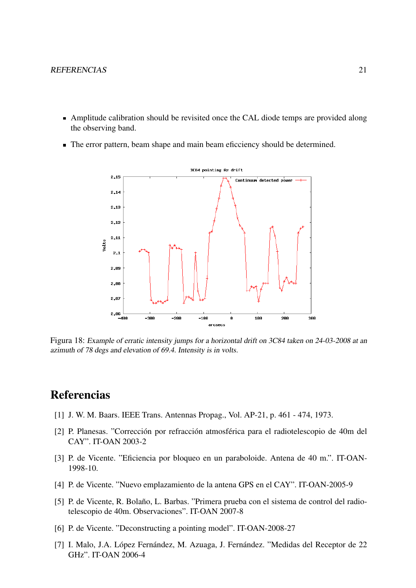- Amplitude calibration should be revisited once the CAL diode temps are provided along the observing band.
- The error pattern, beam shape and main beam eficciency should be determined.



Figura 18: Example of erratic intensity jumps for a horizontal drift on 3C84 taken on 24-03-2008 at an azimuth of 78 degs and elevation of 69.4. Intensity is in volts.

### **Referencias**

- [1] J. W. M. Baars. IEEE Trans. Antennas Propag., Vol. AP-21, p. 461 474, 1973.
- [2] P. Planesas. "Corrección por refracción atmosférica para el radiotelescopio de 40m del CAY". IT-OAN 2003-2
- [3] P. de Vicente. "Eficiencia por bloqueo en un paraboloide. Antena de 40 m.". IT-OAN-1998-10.
- [4] P. de Vicente. "Nuevo emplazamiento de la antena GPS en el CAY". IT-OAN-2005-9
- [5] P. de Vicente, R. Bolaño, L. Barbas. "Primera prueba con el sistema de control del radiotelescopio de 40m. Observaciones". IT-OAN 2007-8
- [6] P. de Vicente. "Deconstructing a pointing model". IT-OAN-2008-27
- [7] I. Malo, J.A. López Fernández, M. Azuaga, J. Fernández. "Medidas del Receptor de 22 GHz". IT-OAN 2006-4